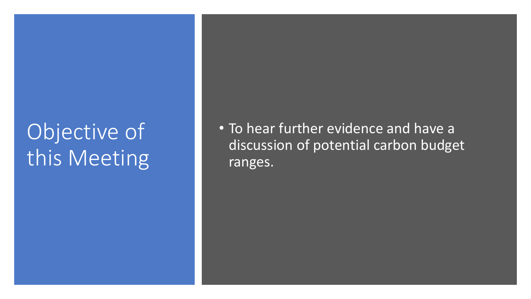## Objective of this Meeting

• To hear further evidence and have a discussion of potential carbon budget ranges.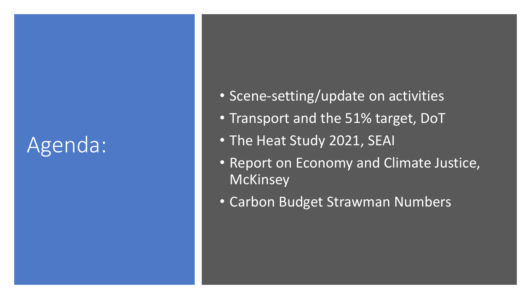## Agenda:

- Scene -setting/update on activities
- Transport and the 51% target, DoT
- The Heat Study 2021, SEAI
- Report on Economy and Climate Justice, **McKinsey**
- Carbon Budget Strawman Numbers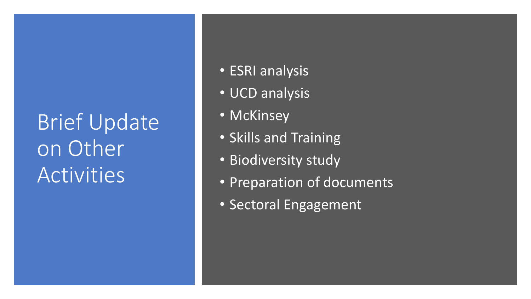## Brief Update on Other Activities

- ESRI analysis
- UCD analysis
- McKinsey
- Skills and Training
- Biodiversity study
- Preparation of documents
- Sectoral Engagement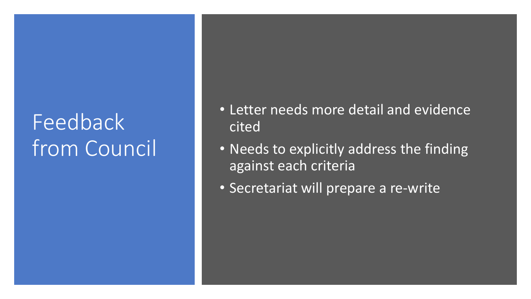## Feedback from Council

- Letter needs more detail and evidence cited
- Needs to explicitly address the finding against each criteria
- Secretariat will prepare a re-write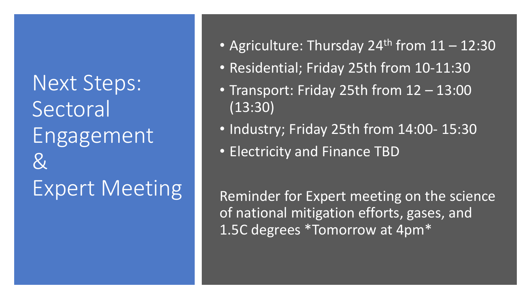Next Steps: Sectoral Engagement & Expert Meeting

- Agriculture: Thursday 24<sup>th</sup> from  $11 12:30$
- Residential; Friday 25th from 10-11:30
- Transport: Friday 25th from 12 13:00 (13:30)
- Industry; Friday 25th from 14:00- 15:30
- Electricity and Finance TBD

Reminder for Expert meeting on the science of national mitigation efforts, gases, and 1.5C degrees \*Tomorrow at 4pm\*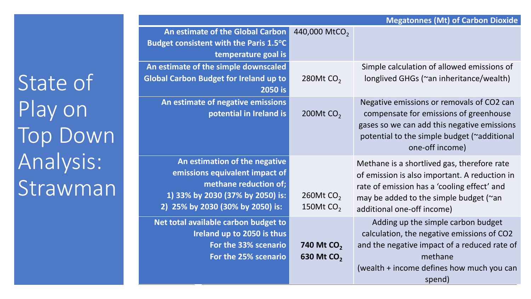|                                                                                                                                                                  | <b>Megatonnes (Mt) of Carbon Dioxide</b>         |                                                                                                                                                                                                                     |  |  |  |  |
|------------------------------------------------------------------------------------------------------------------------------------------------------------------|--------------------------------------------------|---------------------------------------------------------------------------------------------------------------------------------------------------------------------------------------------------------------------|--|--|--|--|
| An estimate of the Global Carbon<br>Budget consistent with the Paris 1.5°C<br>temperature goal is                                                                | 440,000 MtCO <sub>2</sub>                        |                                                                                                                                                                                                                     |  |  |  |  |
| An estimate of the simple downscaled<br><b>Global Carbon Budget for Ireland up to</b><br>2050 is                                                                 | 280Mt CO <sub>2</sub>                            | Simple calculation of allowed emissions of<br>longlived GHGs (~an inheritance/wealth)                                                                                                                               |  |  |  |  |
| An estimate of negative emissions<br>potential in Ireland is                                                                                                     | 200Mt CO <sub>2</sub>                            | Negative emissions or removals of CO2 can<br>compensate for emissions of greenhouse<br>gases so we can add this negative emissions<br>potential to the simple budget (~additional<br>one-off income)                |  |  |  |  |
| An estimation of the negative<br>emissions equivalent impact of<br>methane reduction of;<br>1) 33% by 2030 (37% by 2050) is:<br>2) 25% by 2030 (30% by 2050) is: | 260Mt $CO2$<br>150Mt $CO2$                       | Methane is a shortlived gas, therefore rate<br>of emission is also important. A reduction in<br>rate of emission has a 'cooling effect' and<br>may be added to the simple budget (~an<br>additional one-off income) |  |  |  |  |
| Net total available carbon budget to<br>Ireland up to 2050 is thus<br>For the 33% scenario<br>For the 25% scenario                                               | 740 Mt CO <sub>2</sub><br>630 Mt CO <sub>2</sub> | Adding up the simple carbon budget<br>calculation, the negative emissions of CO2<br>and the negative impact of a reduced rate of<br>methane<br>(wealth + income defines how much you can<br>spend)                  |  |  |  |  |

State of Play on Top Down Analysis: Strawman